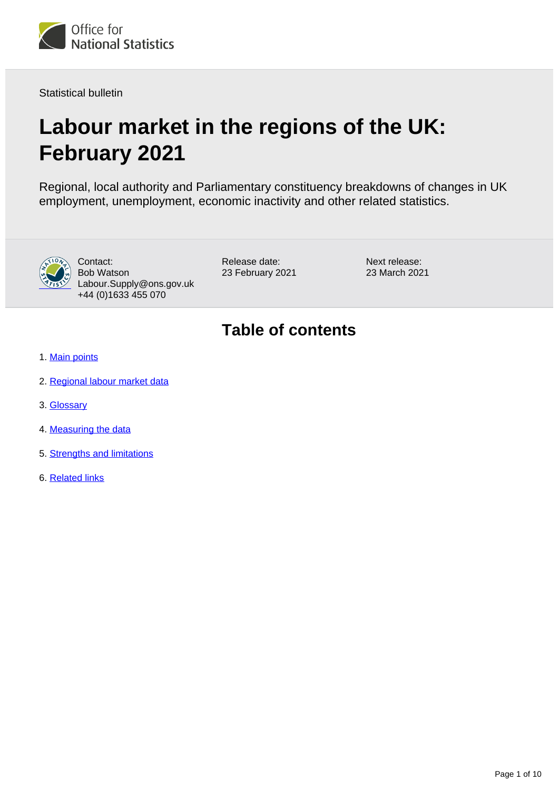

Statistical bulletin

# **Labour market in the regions of the UK: February 2021**

Regional, local authority and Parliamentary constituency breakdowns of changes in UK employment, unemployment, economic inactivity and other related statistics.



Contact: Bob Watson Labour.Supply@ons.gov.uk +44 (0)1633 455 070

Release date: 23 February 2021 Next release: 23 March 2021

## **Table of contents**

- 1. [Main points](#page-1-0)
- 2. [Regional labour market data](#page-2-0)
- 3. [Glossary](#page-2-1)
- 4. [Measuring the data](#page-3-0)
- 5. [Strengths and limitations](#page-6-0)
- 6. [Related links](#page-9-0)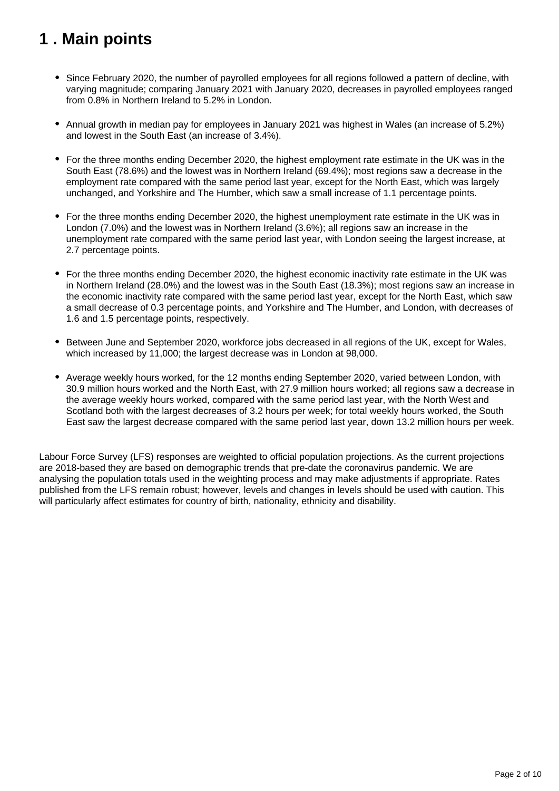## <span id="page-1-0"></span>**1 . Main points**

- Since February 2020, the number of payrolled employees for all regions followed a pattern of decline, with varying magnitude; comparing January 2021 with January 2020, decreases in payrolled employees ranged from 0.8% in Northern Ireland to 5.2% in London.
- Annual growth in median pay for employees in January 2021 was highest in Wales (an increase of 5.2%) and lowest in the South East (an increase of 3.4%).
- For the three months ending December 2020, the highest employment rate estimate in the UK was in the South East (78.6%) and the lowest was in Northern Ireland (69.4%); most regions saw a decrease in the employment rate compared with the same period last year, except for the North East, which was largely unchanged, and Yorkshire and The Humber, which saw a small increase of 1.1 percentage points.
- For the three months ending December 2020, the highest unemployment rate estimate in the UK was in London (7.0%) and the lowest was in Northern Ireland (3.6%); all regions saw an increase in the unemployment rate compared with the same period last year, with London seeing the largest increase, at 2.7 percentage points.
- For the three months ending December 2020, the highest economic inactivity rate estimate in the UK was in Northern Ireland (28.0%) and the lowest was in the South East (18.3%); most regions saw an increase in the economic inactivity rate compared with the same period last year, except for the North East, which saw a small decrease of 0.3 percentage points, and Yorkshire and The Humber, and London, with decreases of 1.6 and 1.5 percentage points, respectively.
- Between June and September 2020, workforce jobs decreased in all regions of the UK, except for Wales, which increased by 11,000; the largest decrease was in London at 98,000.
- Average weekly hours worked, for the 12 months ending September 2020, varied between London, with 30.9 million hours worked and the North East, with 27.9 million hours worked; all regions saw a decrease in the average weekly hours worked, compared with the same period last year, with the North West and Scotland both with the largest decreases of 3.2 hours per week; for total weekly hours worked, the South East saw the largest decrease compared with the same period last year, down 13.2 million hours per week.

Labour Force Survey (LFS) responses are weighted to official population projections. As the current projections are 2018-based they are based on demographic trends that pre-date the coronavirus pandemic. We are analysing the population totals used in the weighting process and may make adjustments if appropriate. Rates published from the LFS remain robust; however, levels and changes in levels should be used with caution. This will particularly affect estimates for country of birth, nationality, ethnicity and disability.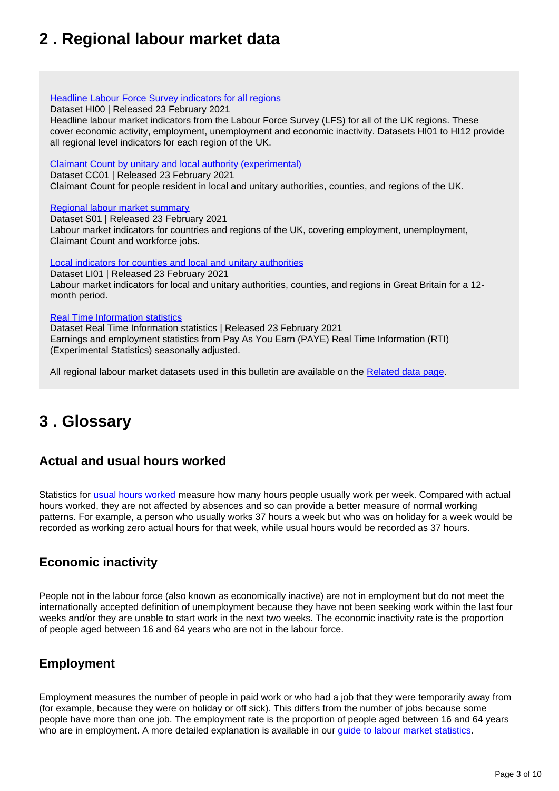## <span id="page-2-0"></span>**2 . Regional labour market data**

#### **[Headline Labour Force Survey indicators for all regions](https://www.ons.gov.uk/employmentandlabourmarket/peopleinwork/employmentandemployeetypes/datasets/headlinelabourforcesurveyindicatorsforallregionshi00)**

Dataset HI00 | Released 23 February 2021

Headline labour market indicators from the Labour Force Survey (LFS) for all of the UK regions. These cover economic activity, employment, unemployment and economic inactivity. Datasets HI01 to HI12 provide all regional level indicators for each region of the UK.

[Claimant Count by unitary and local authority \(experimental\)](https://www.ons.gov.uk/employmentandlabourmarket/peoplenotinwork/unemployment/datasets/claimantcountbyunitaryandlocalauthorityexperimental)

Dataset CC01 | Released 23 February 2021

Claimant Count for people resident in local and unitary authorities, counties, and regions of the UK.

#### [Regional labour market summary](https://www.ons.gov.uk/employmentandlabourmarket/peopleinwork/employmentandemployeetypes/datasets/nationallabourmarketsummarybyregions01)

Dataset S01 | Released 23 February 2021 Labour market indicators for countries and regions of the UK, covering employment, unemployment, Claimant Count and workforce jobs.

[Local indicators for counties and local and unitary authorities](https://www.ons.gov.uk/employmentandlabourmarket/peopleinwork/employmentandemployeetypes/datasets/locallabourmarketindicatorsforcountieslocalandunitaryauthoritiesli01)

Dataset LI01 | Released 23 February 2021 Labour market indicators for local and unitary authorities, counties, and regions in Great Britain for a 12 month period.

#### [Real Time Information statistics](https://www.ons.gov.uk/employmentandlabourmarket/peopleinwork/earningsandworkinghours/datasets/realtimeinformationstatisticsreferencetableseasonallyadjusted)

Dataset Real Time Information statistics | Released 23 February 2021 Earnings and employment statistics from Pay As You Earn (PAYE) Real Time Information (RTI) (Experimental Statistics) seasonally adjusted.

All regional labour market datasets used in this bulletin are available on the [Related data page](https://www.ons.gov.uk/employmentandlabourmarket/peopleinwork/employmentandemployeetypes/bulletins/regionallabourmarket/latest/relateddata).

## <span id="page-2-1"></span>**3 . Glossary**

### **Actual and usual hours worked**

Statistics for [usual hours worked](https://www.ons.gov.uk/employmentandlabourmarket/peopleinwork/employmentandemployeetypes/methodologies/aguidetolabourmarketstatistics#hours-of-work) measure how many hours people usually work per week. Compared with actual hours worked, they are not affected by absences and so can provide a better measure of normal working patterns. For example, a person who usually works 37 hours a week but who was on holiday for a week would be recorded as working zero actual hours for that week, while usual hours would be recorded as 37 hours.

### **Economic inactivity**

People not in the labour force (also known as economically inactive) are not in employment but do not meet the internationally accepted definition of unemployment because they have not been seeking work within the last four weeks and/or they are unable to start work in the next two weeks. The economic inactivity rate is the proportion of people aged between 16 and 64 years who are not in the labour force.

#### **Employment**

Employment measures the number of people in paid work or who had a job that they were temporarily away from (for example, because they were on holiday or off sick). This differs from the number of jobs because some people have more than one job. The employment rate is the proportion of people aged between 16 and 64 years who are in employment. A more detailed explanation is available in our *quide to labour market statistics*.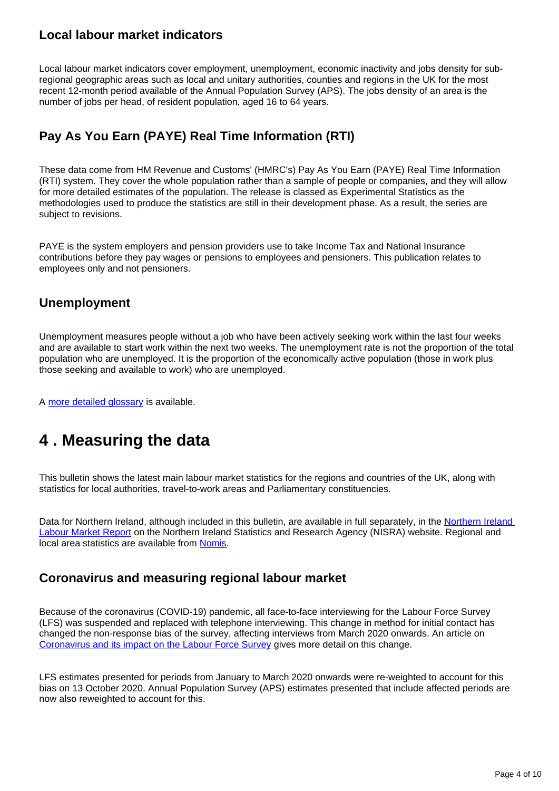#### **Local labour market indicators**

Local labour market indicators cover employment, unemployment, economic inactivity and jobs density for subregional geographic areas such as local and unitary authorities, counties and regions in the UK for the most recent 12-month period available of the Annual Population Survey (APS). The jobs density of an area is the number of jobs per head, of resident population, aged 16 to 64 years.

### **Pay As You Earn (PAYE) Real Time Information (RTI)**

These data come from HM Revenue and Customs' (HMRC's) Pay As You Earn (PAYE) Real Time Information (RTI) system. They cover the whole population rather than a sample of people or companies, and they will allow for more detailed estimates of the population. The release is classed as Experimental Statistics as the methodologies used to produce the statistics are still in their development phase. As a result, the series are subject to revisions.

PAYE is the system employers and pension providers use to take Income Tax and National Insurance contributions before they pay wages or pensions to employees and pensioners. This publication relates to employees only and not pensioners.

#### **Unemployment**

Unemployment measures people without a job who have been actively seeking work within the last four weeks and are available to start work within the next two weeks. The unemployment rate is not the proportion of the total population who are unemployed. It is the proportion of the economically active population (those in work plus those seeking and available to work) who are unemployed.

A [more detailed glossary](https://www.ons.gov.uk/employmentandlabourmarket/peopleinwork/employmentandemployeetypes/methodologies/aguidetolabourmarketstatistics#glossary) is available.

## <span id="page-3-0"></span>**4 . Measuring the data**

This bulletin shows the latest main labour market statistics for the regions and countries of the UK, along with statistics for local authorities, travel-to-work areas and Parliamentary constituencies.

Data for Northern Ireland, although included in this bulletin, are available in full separately, in the [Northern Ireland](https://www.nisra.gov.uk/statistics/labour-market-and-social-welfare/labour-force-survey)  [Labour Market Report](https://www.nisra.gov.uk/statistics/labour-market-and-social-welfare/labour-force-survey) on the Northern Ireland Statistics and Research Agency (NISRA) website. Regional and local area statistics are available from [Nomis](http://www.nomisweb.co.uk/).

#### **Coronavirus and measuring regional labour market**

Because of the coronavirus (COVID-19) pandemic, all face-to-face interviewing for the Labour Force Survey (LFS) was suspended and replaced with telephone interviewing. This change in method for initial contact has changed the non-response bias of the survey, affecting interviews from March 2020 onwards. An article on [Coronavirus and its impact on the Labour Force Survey](https://www.ons.gov.uk/employmentandlabourmarket/peopleinwork/employmentandemployeetypes/articles/coronavirusanditsimpactonthelabourforcesurvey/2020-10-13) gives more detail on this change.

LFS estimates presented for periods from January to March 2020 onwards were re-weighted to account for this bias on 13 October 2020. Annual Population Survey (APS) estimates presented that include affected periods are now also reweighted to account for this.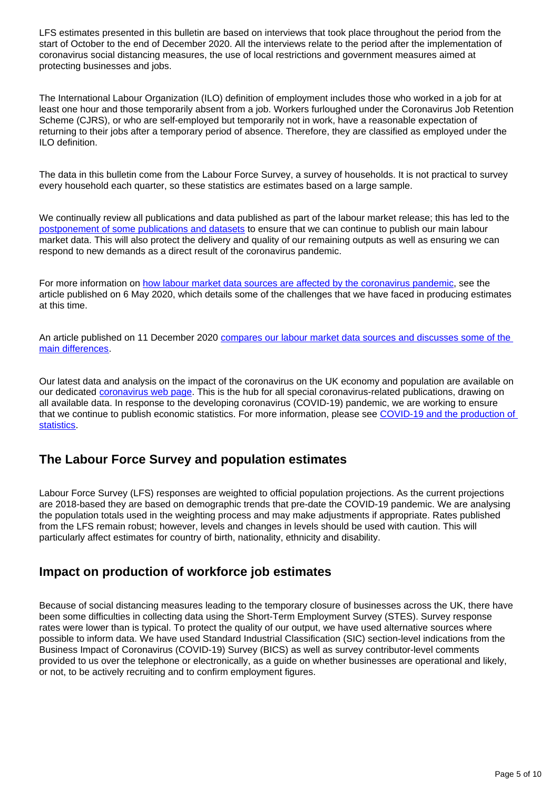LFS estimates presented in this bulletin are based on interviews that took place throughout the period from the start of October to the end of December 2020. All the interviews relate to the period after the implementation of coronavirus social distancing measures, the use of local restrictions and government measures aimed at protecting businesses and jobs.

The International Labour Organization (ILO) definition of employment includes those who worked in a job for at least one hour and those temporarily absent from a job. Workers furloughed under the Coronavirus Job Retention Scheme (CJRS), or who are self-employed but temporarily not in work, have a reasonable expectation of returning to their jobs after a temporary period of absence. Therefore, they are classified as employed under the ILO definition.

The data in this bulletin come from the Labour Force Survey, a survey of households. It is not practical to survey every household each quarter, so these statistics are estimates based on a large sample.

We continually review all publications and data published as part of the labour market release; this has led to the [postponement of some publications and datasets](https://www.ons.gov.uk/news/statementsandletters/updatetocoronavirusimpactonlabourmarketoutputs) to ensure that we can continue to publish our main labour market data. This will also protect the delivery and quality of our remaining outputs as well as ensuring we can respond to new demands as a direct result of the coronavirus pandemic.

For more information on [how labour market data sources are affected by the coronavirus pandemic](https://www.ons.gov.uk/employmentandlabourmarket/peopleinwork/employmentandemployeetypes/articles/coronavirusandtheeffectsonuklabourmarketstatistics/2020-05-06), see the article published on 6 May 2020, which details some of the challenges that we have faced in producing estimates at this time.

An article published on 11 December 2020 [compares our labour market data sources and discusses some of the](https://www.ons.gov.uk/employmentandlabourmarket/peopleinwork/employmentandemployeetypes/methodologies/comparisonoflabourmarketdatasources)  [main differences.](https://www.ons.gov.uk/employmentandlabourmarket/peopleinwork/employmentandemployeetypes/methodologies/comparisonoflabourmarketdatasources)

Our latest data and analysis on the impact of the coronavirus on the UK economy and population are available on our dedicated [coronavirus web page](http://www.ons.gov.uk/coronavirus). This is the hub for all special coronavirus-related publications, drawing on all available data. In response to the developing coronavirus (COVID-19) pandemic, we are working to ensure that we continue to publish economic statistics. For more information, please see [COVID-19 and the production of](https://www.ons.gov.uk/news/statementsandletters/covid19andtheproductionofstatistics)  [statistics.](https://www.ons.gov.uk/news/statementsandletters/covid19andtheproductionofstatistics)

#### **The Labour Force Survey and population estimates**

Labour Force Survey (LFS) responses are weighted to official population projections. As the current projections are 2018-based they are based on demographic trends that pre-date the COVID-19 pandemic. We are analysing the population totals used in the weighting process and may make adjustments if appropriate. Rates published from the LFS remain robust; however, levels and changes in levels should be used with caution. This will particularly affect estimates for country of birth, nationality, ethnicity and disability.

#### **Impact on production of workforce job estimates**

Because of social distancing measures leading to the temporary closure of businesses across the UK, there have been some difficulties in collecting data using the Short-Term Employment Survey (STES). Survey response rates were lower than is typical. To protect the quality of our output, we have used alternative sources where possible to inform data. We have used Standard Industrial Classification (SIC) section-level indications from the Business Impact of Coronavirus (COVID-19) Survey (BICS) as well as survey contributor-level comments provided to us over the telephone or electronically, as a guide on whether businesses are operational and likely, or not, to be actively recruiting and to confirm employment figures.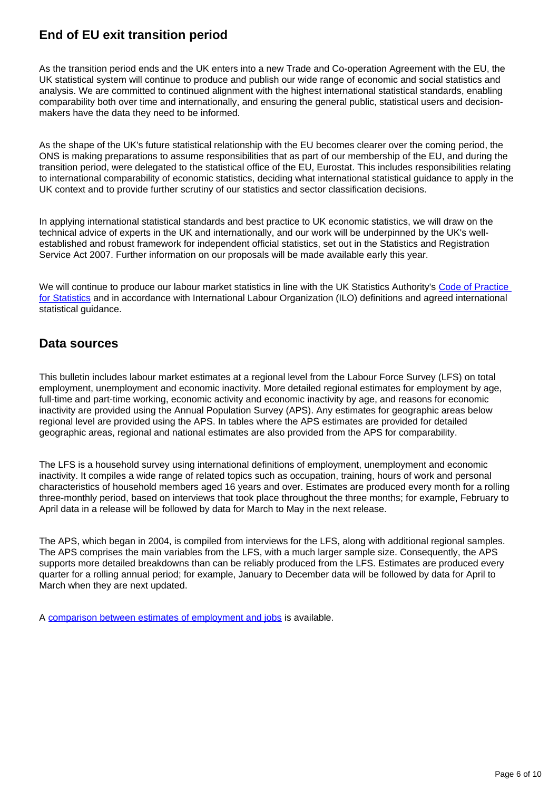### **End of EU exit transition period**

As the transition period ends and the UK enters into a new Trade and Co-operation Agreement with the EU, the UK statistical system will continue to produce and publish our wide range of economic and social statistics and analysis. We are committed to continued alignment with the highest international statistical standards, enabling comparability both over time and internationally, and ensuring the general public, statistical users and decisionmakers have the data they need to be informed.

As the shape of the UK's future statistical relationship with the EU becomes clearer over the coming period, the ONS is making preparations to assume responsibilities that as part of our membership of the EU, and during the transition period, were delegated to the statistical office of the EU, Eurostat. This includes responsibilities relating to international comparability of economic statistics, deciding what international statistical guidance to apply in the UK context and to provide further scrutiny of our statistics and sector classification decisions.

In applying international statistical standards and best practice to UK economic statistics, we will draw on the technical advice of experts in the UK and internationally, and our work will be underpinned by the UK's wellestablished and robust framework for independent official statistics, set out in the Statistics and Registration Service Act 2007. Further information on our proposals will be made available early this year.

We will continue to produce our labour market statistics in line with the UK Statistics Authority's Code of Practice [for Statistics](https://code.statisticsauthority.gov.uk/) and in accordance with International Labour Organization (ILO) definitions and agreed international statistical guidance.

#### **Data sources**

This bulletin includes labour market estimates at a regional level from the Labour Force Survey (LFS) on total employment, unemployment and economic inactivity. More detailed regional estimates for employment by age, full-time and part-time working, economic activity and economic inactivity by age, and reasons for economic inactivity are provided using the Annual Population Survey (APS). Any estimates for geographic areas below regional level are provided using the APS. In tables where the APS estimates are provided for detailed geographic areas, regional and national estimates are also provided from the APS for comparability.

The LFS is a household survey using international definitions of employment, unemployment and economic inactivity. It compiles a wide range of related topics such as occupation, training, hours of work and personal characteristics of household members aged 16 years and over. Estimates are produced every month for a rolling three-monthly period, based on interviews that took place throughout the three months; for example, February to April data in a release will be followed by data for March to May in the next release.

The APS, which began in 2004, is compiled from interviews for the LFS, along with additional regional samples. The APS comprises the main variables from the LFS, with a much larger sample size. Consequently, the APS supports more detailed breakdowns than can be reliably produced from the LFS. Estimates are produced every quarter for a rolling annual period; for example, January to December data will be followed by data for April to March when they are next updated.

A [comparison between estimates of employment and jobs](http://www.ons.gov.uk/employmentandlabourmarket/peopleinwork/employmentandemployeetypes/articles/reconciliationofestimatesofjobs/latest) is available.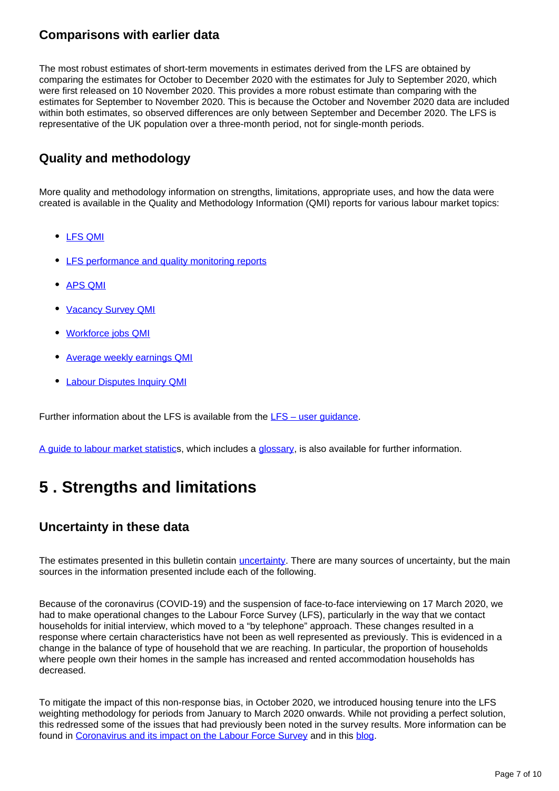#### **Comparisons with earlier data**

The most robust estimates of short-term movements in estimates derived from the LFS are obtained by comparing the estimates for October to December 2020 with the estimates for July to September 2020, which were first released on 10 November 2020. This provides a more robust estimate than comparing with the estimates for September to November 2020. This is because the October and November 2020 data are included within both estimates, so observed differences are only between September and December 2020. The LFS is representative of the UK population over a three-month period, not for single-month periods.

#### **Quality and methodology**

More quality and methodology information on strengths, limitations, appropriate uses, and how the data were created is available in the Quality and Methodology Information (QMI) reports for various labour market topics:

- [LFS QMI](https://www.ons.gov.uk/employmentandlabourmarket/peopleinwork/employmentandemployeetypes/qmis/labourforcesurveylfsqmi)
- [LFS performance and quality monitoring reports](https://www.ons.gov.uk/employmentandlabourmarket/peopleinwork/employmentandemployeetypes/methodologies/labourforcesurveyperformanceandqualitymonitoringreports)
- [APS QMI](https://www.ons.gov.uk/employmentandlabourmarket/peopleinwork/employmentandemployeetypes/methodologies/annualpopulationsurveyapsqmi)
- [Vacancy Survey QMI](https://www.ons.gov.uk/employmentandlabourmarket/peopleinwork/employmentandemployeetypes/qmis/vacancysurveyqmi)
- [Workforce jobs QMI](https://www.ons.gov.uk/employmentandlabourmarket/peopleinwork/employmentandemployeetypes/qmis/workforcejobsqmi)
- [Average weekly earnings QMI](https://www.ons.gov.uk/employmentandlabourmarket/peopleinwork/earningsandworkinghours/methodologies/averageweeklyearningsqmi)
- [Labour Disputes Inquiry QMI](https://www.ons.gov.uk/employmentandlabourmarket/peopleinwork/workplacedisputesandworkingconditions/methodologies/labourdisputesinquiryqmi)

Further information about the LFS is available from the  $LFS -$  user quidance.

[A guide to labour market statistic](https://www.ons.gov.uk/employmentandlabourmarket/peopleinwork/employmentandemployeetypes/methodologies/aguidetolabourmarketstatistics)s, which includes a [glossary](https://www.ons.gov.uk/employmentandlabourmarket/peopleinwork/employmentandemployeetypes/methodologies/aguidetolabourmarketstatistics#glossary), is also available for further information.

## <span id="page-6-0"></span>**5 . Strengths and limitations**

#### **Uncertainty in these data**

The estimates presented in this bulletin contain *[uncertainty](https://www.ons.gov.uk/methodology/methodologytopicsandstatisticalconcepts/uncertaintyandhowwemeasureit)*. There are many sources of uncertainty, but the main sources in the information presented include each of the following.

Because of the coronavirus (COVID-19) and the suspension of face-to-face interviewing on 17 March 2020, we had to make operational changes to the Labour Force Survey (LFS), particularly in the way that we contact households for initial interview, which moved to a "by telephone" approach. These changes resulted in a response where certain characteristics have not been as well represented as previously. This is evidenced in a change in the balance of type of household that we are reaching. In particular, the proportion of households where people own their homes in the sample has increased and rented accommodation households has decreased.

To mitigate the impact of this non-response bias, in October 2020, we introduced housing tenure into the LFS weighting methodology for periods from January to March 2020 onwards. While not providing a perfect solution, this redressed some of the issues that had previously been noted in the survey results. More information can be found in [Coronavirus and its impact on the Labour Force Survey](https://www.ons.gov.uk/employmentandlabourmarket/peopleinwork/employmentandemployeetypes/articles/coronavirusanditsimpactonthelabourforcesurvey/2020-10-13) and in this [blog.](https://blog.ons.gov.uk/2020/10/12/measuring-the-labour-market-during-the-pandemic/)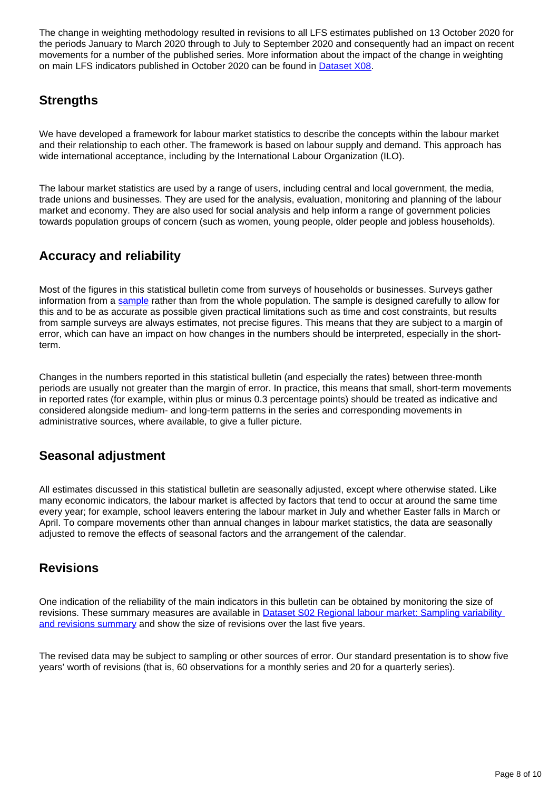The change in weighting methodology resulted in revisions to all LFS estimates published on 13 October 2020 for the periods January to March 2020 through to July to September 2020 and consequently had an impact on recent movements for a number of the published series. More information about the impact of the change in weighting on main LFS indicators published in October 2020 can be found in **Dataset X08**.

#### **Strengths**

We have developed a framework for labour market statistics to describe the concepts within the labour market and their relationship to each other. The framework is based on labour supply and demand. This approach has wide international acceptance, including by the International Labour Organization (ILO).

The labour market statistics are used by a range of users, including central and local government, the media, trade unions and businesses. They are used for the analysis, evaluation, monitoring and planning of the labour market and economy. They are also used for social analysis and help inform a range of government policies towards population groups of concern (such as women, young people, older people and jobless households).

### **Accuracy and reliability**

Most of the figures in this statistical bulletin come from surveys of households or businesses. Surveys gather information from a [sample](https://www.ons.gov.uk/methodology/methodologytopicsandstatisticalconcepts/uncertaintyandhowwemeasureit#sampling-the-population) rather than from the whole population. The sample is designed carefully to allow for this and to be as accurate as possible given practical limitations such as time and cost constraints, but results from sample surveys are always estimates, not precise figures. This means that they are subject to a margin of error, which can have an impact on how changes in the numbers should be interpreted, especially in the shortterm.

Changes in the numbers reported in this statistical bulletin (and especially the rates) between three-month periods are usually not greater than the margin of error. In practice, this means that small, short-term movements in reported rates (for example, within plus or minus 0.3 percentage points) should be treated as indicative and considered alongside medium- and long-term patterns in the series and corresponding movements in administrative sources, where available, to give a fuller picture.

### **Seasonal adjustment**

All estimates discussed in this statistical bulletin are seasonally adjusted, except where otherwise stated. Like many economic indicators, the labour market is affected by factors that tend to occur at around the same time every year; for example, school leavers entering the labour market in July and whether Easter falls in March or April. To compare movements other than annual changes in labour market statistics, the data are seasonally adjusted to remove the effects of seasonal factors and the arrangement of the calendar.

#### **Revisions**

One indication of the reliability of the main indicators in this bulletin can be obtained by monitoring the size of revisions. These summary measures are available in **Dataset S02 Regional labour market: Sampling variability** [and revisions summary](http://www.ons.gov.uk/employmentandlabourmarket/peopleinwork/employmentandemployeetypes/datasets/samplingvariabilityandrevisionssummaryforregionallabourmarketstatisticss02) and show the size of revisions over the last five years.

The revised data may be subject to sampling or other sources of error. Our standard presentation is to show five years' worth of revisions (that is, 60 observations for a monthly series and 20 for a quarterly series).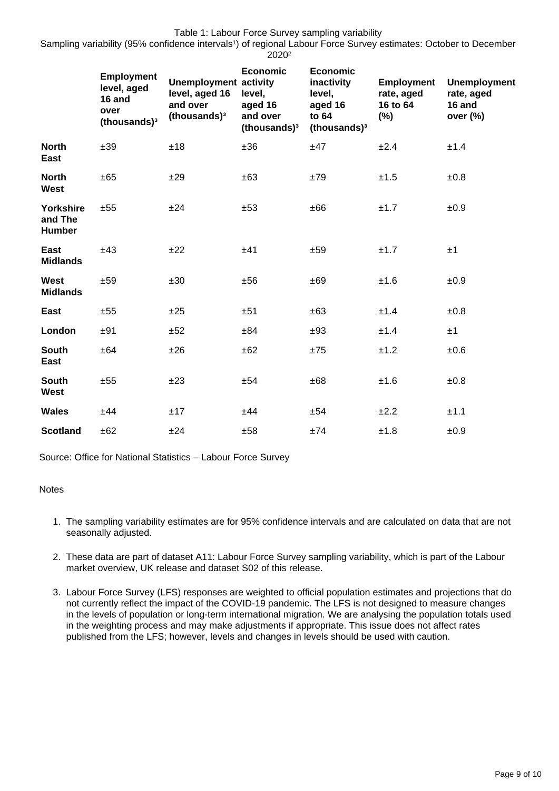Sampling variability (95% confidence intervals<sup>1</sup>) of regional Labour Force Survey estimates: October to December 2020²

|                                       | <b>Employment</b><br>level, aged<br>16 and<br>over<br>(thousands) <sup>3</sup> | <b>Unemployment activity</b><br>level, aged 16<br>and over<br>(thousands) <sup>3</sup> | <b>Economic</b><br>level,<br>aged 16<br>and over<br>(thousands) <sup>3</sup> | <b>Economic</b><br>inactivity<br>level,<br>aged 16<br>to 64<br>(thousands) <sup>3</sup> | <b>Employment</b><br>rate, aged<br>16 to 64<br>(%) | Unemployment<br>rate, aged<br>16 and<br>over $(\%)$ |
|---------------------------------------|--------------------------------------------------------------------------------|----------------------------------------------------------------------------------------|------------------------------------------------------------------------------|-----------------------------------------------------------------------------------------|----------------------------------------------------|-----------------------------------------------------|
| <b>North</b><br>East                  | ±39                                                                            | ±18                                                                                    | ±36                                                                          | ±47                                                                                     | ±2.4                                               | ±1.4                                                |
| <b>North</b><br><b>West</b>           | ±65                                                                            | ±29                                                                                    | ±63                                                                          | ±79                                                                                     | ±1.5                                               | $\pm 0.8$                                           |
| <b>Yorkshire</b><br>and The<br>Humber | ±55                                                                            | ±24                                                                                    | ±53                                                                          | ±66                                                                                     | ±1.7                                               | ±0.9                                                |
| East<br><b>Midlands</b>               | ±43                                                                            | ±22                                                                                    | ±41                                                                          | ±59                                                                                     | ±1.7                                               | ±1                                                  |
| <b>West</b><br><b>Midlands</b>        | ±59                                                                            | ±30                                                                                    | ±56                                                                          | ±69                                                                                     | ±1.6                                               | ±0.9                                                |
| East                                  | ±55                                                                            | ±25                                                                                    | ±51                                                                          | ±63                                                                                     | ±1.4                                               | ±0.8                                                |
| London                                | ±91                                                                            | ±52                                                                                    | ±84                                                                          | ±93                                                                                     | ±1.4                                               | ±1                                                  |
| <b>South</b><br>East                  | ±64                                                                            | ±26                                                                                    | ±62                                                                          | ±75                                                                                     | ±1.2                                               | $\pm 0.6$                                           |
| <b>South</b><br>West                  | ±55                                                                            | ±23                                                                                    | ±54                                                                          | $\pm 68$                                                                                | ±1.6                                               | $\pm 0.8$                                           |
| <b>Wales</b>                          | ±44                                                                            | ±17                                                                                    | ±44                                                                          | ±54                                                                                     | ±2.2                                               | ±1.1                                                |
| <b>Scotland</b>                       | ±62                                                                            | ±24                                                                                    | ±58                                                                          | ±74                                                                                     | ±1.8                                               | ±0.9                                                |

Source: Office for National Statistics – Labour Force Survey

#### **Notes**

- 1. The sampling variability estimates are for 95% confidence intervals and are calculated on data that are not seasonally adjusted.
- 2. These data are part of dataset A11: Labour Force Survey sampling variability, which is part of the Labour market overview, UK release and dataset S02 of this release.
- 3. Labour Force Survey (LFS) responses are weighted to official population estimates and projections that do not currently reflect the impact of the COVID-19 pandemic. The LFS is not designed to measure changes in the levels of population or long-term international migration. We are analysing the population totals used in the weighting process and may make adjustments if appropriate. This issue does not affect rates published from the LFS; however, levels and changes in levels should be used with caution.